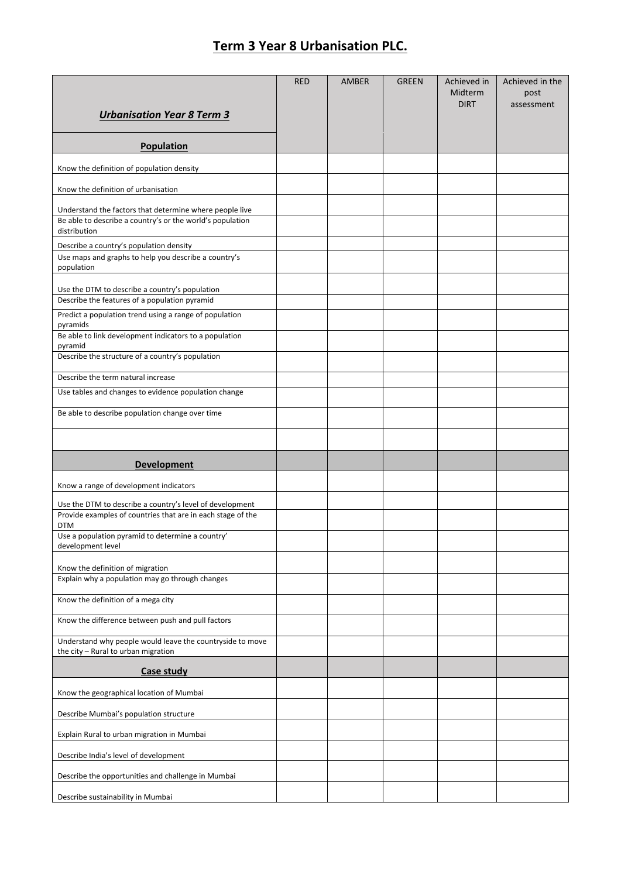## **Term 3 Year 8 Urbanisation PLC.**

| <b>Urbanisation Year 8 Term 3</b>                                                                | <b>RED</b> | <b>AMBER</b> | <b>GREEN</b> | Achieved in<br>Midterm<br><b>DIRT</b> | Achieved in the<br>post<br>assessment |
|--------------------------------------------------------------------------------------------------|------------|--------------|--------------|---------------------------------------|---------------------------------------|
| Population                                                                                       |            |              |              |                                       |                                       |
| Know the definition of population density                                                        |            |              |              |                                       |                                       |
| Know the definition of urbanisation                                                              |            |              |              |                                       |                                       |
| Understand the factors that determine where people live                                          |            |              |              |                                       |                                       |
| Be able to describe a country's or the world's population<br>distribution                        |            |              |              |                                       |                                       |
| Describe a country's population density                                                          |            |              |              |                                       |                                       |
| Use maps and graphs to help you describe a country's<br>population                               |            |              |              |                                       |                                       |
| Use the DTM to describe a country's population<br>Describe the features of a population pyramid  |            |              |              |                                       |                                       |
| Predict a population trend using a range of population                                           |            |              |              |                                       |                                       |
| pyramids<br>Be able to link development indicators to a population                               |            |              |              |                                       |                                       |
| pyramid<br>Describe the structure of a country's population                                      |            |              |              |                                       |                                       |
| Describe the term natural increase                                                               |            |              |              |                                       |                                       |
| Use tables and changes to evidence population change                                             |            |              |              |                                       |                                       |
| Be able to describe population change over time                                                  |            |              |              |                                       |                                       |
|                                                                                                  |            |              |              |                                       |                                       |
| <b>Development</b>                                                                               |            |              |              |                                       |                                       |
| Know a range of development indicators                                                           |            |              |              |                                       |                                       |
| Use the DTM to describe a country's level of development                                         |            |              |              |                                       |                                       |
| Provide examples of countries that are in each stage of the<br><b>DTM</b>                        |            |              |              |                                       |                                       |
| Use a population pyramid to determine a country'<br>development level                            |            |              |              |                                       |                                       |
| Know the definition of migration                                                                 |            |              |              |                                       |                                       |
| Explain why a population may go through changes                                                  |            |              |              |                                       |                                       |
| Know the definition of a mega city                                                               |            |              |              |                                       |                                       |
| Know the difference between push and pull factors                                                |            |              |              |                                       |                                       |
| Understand why people would leave the countryside to move<br>the city - Rural to urban migration |            |              |              |                                       |                                       |
| Case study                                                                                       |            |              |              |                                       |                                       |
| Know the geographical location of Mumbai                                                         |            |              |              |                                       |                                       |
| Describe Mumbai's population structure                                                           |            |              |              |                                       |                                       |
| Explain Rural to urban migration in Mumbai                                                       |            |              |              |                                       |                                       |
| Describe India's level of development                                                            |            |              |              |                                       |                                       |
| Describe the opportunities and challenge in Mumbai                                               |            |              |              |                                       |                                       |
| Describe sustainability in Mumbai                                                                |            |              |              |                                       |                                       |